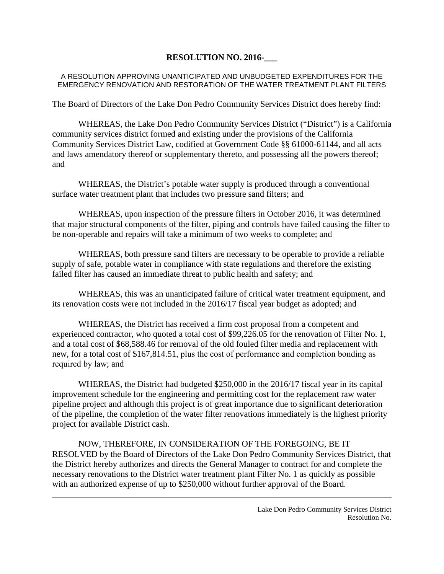## **RESOLUTION NO. 2016-\_\_\_**

#### A RESOLUTION APPROVING UNANTICIPATED AND UNBUDGETED EXPENDITURES FOR THE EMERGENCY RENOVATION AND RESTORATION OF THE WATER TREATMENT PLANT FILTERS

The Board of Directors of the Lake Don Pedro Community Services District does hereby find:

WHEREAS, the Lake Don Pedro Community Services District ("District") is a California community services district formed and existing under the provisions of the California Community Services District Law, codified at Government Code §§ 61000-61144, and all acts and laws amendatory thereof or supplementary thereto, and possessing all the powers thereof; and

WHEREAS, the District's potable water supply is produced through a conventional surface water treatment plant that includes two pressure sand filters; and

WHEREAS, upon inspection of the pressure filters in October 2016, it was determined that major structural components of the filter, piping and controls have failed causing the filter to be non-operable and repairs will take a minimum of two weeks to complete; and

WHEREAS, both pressure sand filters are necessary to be operable to provide a reliable supply of safe, potable water in compliance with state regulations and therefore the existing failed filter has caused an immediate threat to public health and safety; and

WHEREAS, this was an unanticipated failure of critical water treatment equipment, and its renovation costs were not included in the 2016/17 fiscal year budget as adopted; and

WHEREAS, the District has received a firm cost proposal from a competent and experienced contractor, who quoted a total cost of \$99,226.05 for the renovation of Filter No. 1, and a total cost of \$68,588.46 for removal of the old fouled filter media and replacement with new, for a total cost of \$167,814.51, plus the cost of performance and completion bonding as required by law; and

WHEREAS, the District had budgeted \$250,000 in the 2016/17 fiscal year in its capital improvement schedule for the engineering and permitting cost for the replacement raw water pipeline project and although this project is of great importance due to significant deterioration of the pipeline, the completion of the water filter renovations immediately is the highest priority project for available District cash.

NOW, THEREFORE, IN CONSIDERATION OF THE FOREGOING, BE IT RESOLVED by the Board of Directors of the Lake Don Pedro Community Services District, that the District hereby authorizes and directs the General Manager to contract for and complete the necessary renovations to the District water treatment plant Filter No. 1 as quickly as possible with an authorized expense of up to \$250,000 without further approval of the Board.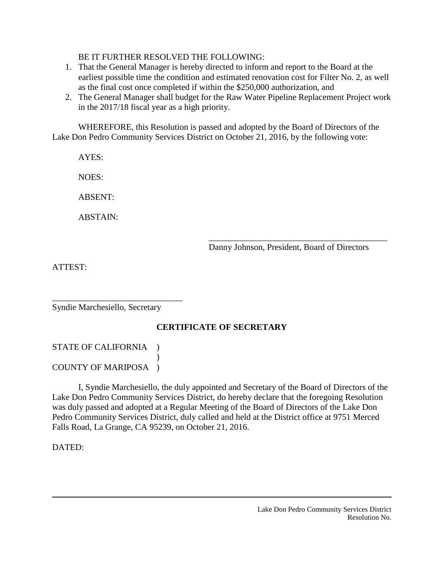### BE IT FURTHER RESOLVED THE FOLLOWING:

- 1. That the General Manager is hereby directed to inform and report to the Board at the earliest possible time the condition and estimated renovation cost for Filter No. 2, as well as the final cost once completed if within the \$250,000 authorization, and
- 2. The General Manager shall budget for the Raw Water Pipeline Replacement Project work in the 2017/18 fiscal year as a high priority.

WHEREFORE, this Resolution is passed and adopted by the Board of Directors of the Lake Don Pedro Community Services District on October 21, 2016, by the following vote:

AYES:

NOES:

ABSENT:

ABSTAIN:

\_\_\_\_\_\_\_\_\_\_\_\_\_\_\_\_\_\_\_\_\_\_\_\_\_\_\_\_\_\_\_\_\_\_\_\_\_\_\_\_\_ Danny Johnson, President, Board of Directors

ATTEST:

\_\_\_\_\_\_\_\_\_\_\_\_\_\_\_\_\_\_\_\_\_\_\_\_\_\_\_\_\_\_ Syndie Marchesiello, Secretary

# **CERTIFICATE OF SECRETARY**

### STATE OF CALIFORNIA )  $\lambda$ COUNTY OF MARIPOSA )

I, Syndie Marchesiello, the duly appointed and Secretary of the Board of Directors of the Lake Don Pedro Community Services District, do hereby declare that the foregoing Resolution was duly passed and adopted at a Regular Meeting of the Board of Directors of the Lake Don Pedro Community Services District, duly called and held at the District office at 9751 Merced Falls Road, La Grange, CA 95239, on October 21, 2016.

DATED: